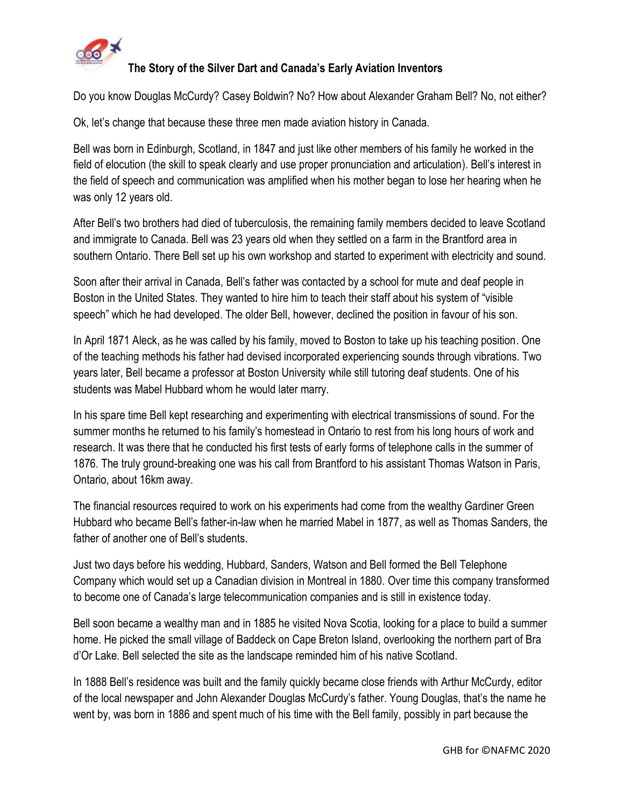

## **The Story of the Silver Dart and Canada's Early Aviation Inventors**

Do you know Douglas McCurdy? Casey Boldwin? No? How about Alexander Graham Bell? No, not either?

Ok, let's change that because these three men made aviation history in Canada.

Bell was born in Edinburgh, Scotland, in 1847 and just like other members of his family he worked in the field of elocution (the skill to speak clearly and use proper pronunciation and articulation). Bell's interest in the field of speech and communication was amplified when his mother began to lose her hearing when he was only 12 years old.

After Bell's two brothers had died of tuberculosis, the remaining family members decided to leave Scotland and immigrate to Canada. Bell was 23 years old when they settled on a farm in the Brantford area in southern Ontario. There Bell set up his own workshop and started to experiment with electricity and sound.

Soon after their arrival in Canada, Bell's father was contacted by a school for mute and deaf people in Boston in the United States. They wanted to hire him to teach their staff about his system of "visible speech" which he had developed. The older Bell, however, declined the position in favour of his son.

In April 1871 Aleck, as he was called by his family, moved to Boston to take up his teaching position. One of the teaching methods his father had devised incorporated experiencing sounds through vibrations. Two years later, Bell became a professor at Boston University while still tutoring deaf students. One of his students was Mabel Hubbard whom he would later marry.

In his spare time Bell kept researching and experimenting with electrical transmissions of sound. For the summer months he returned to his family's homestead in Ontario to rest from his long hours of work and research. It was there that he conducted his first tests of early forms of telephone calls in the summer of 1876. The truly ground-breaking one was his call from Brantford to his assistant Thomas Watson in Paris, Ontario, about 16km away.

The financial resources required to work on his experiments had come from the wealthy Gardiner Green Hubbard who became Bell's father-in-law when he married Mabel in 1877, as well as Thomas Sanders, the father of another one of Bell's students.

Just two days before his wedding, Hubbard, Sanders, Watson and Bell formed the Bell Telephone Company which would set up a Canadian division in Montreal in 1880. Over time this company transformed to become one of Canada's large telecommunication companies and is still in existence today.

Bell soon became a wealthy man and in 1885 he visited Nova Scotia, looking for a place to build a summer home. He picked the small village of Baddeck on Cape Breton Island, overlooking the northern part of Bra d'Or Lake. Bell selected the site as the landscape reminded him of his native Scotland.

In 1888 Bell's residence was built and the family quickly became close friends with Arthur McCurdy, editor of the local newspaper and John Alexander Douglas McCurdy's father. Young Douglas, that's the name he went by, was born in 1886 and spent much of his time with the Bell family, possibly in part because the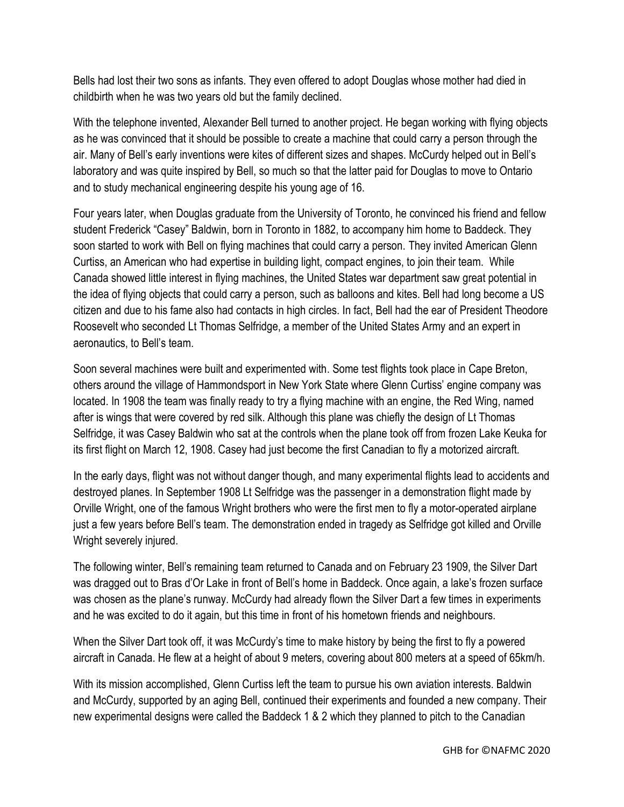Bells had lost their two sons as infants. They even offered to adopt Douglas whose mother had died in childbirth when he was two years old but the family declined.

With the telephone invented, Alexander Bell turned to another project. He began working with flying objects as he was convinced that it should be possible to create a machine that could carry a person through the air. Many of Bell's early inventions were kites of different sizes and shapes. McCurdy helped out in Bell's laboratory and was quite inspired by Bell, so much so that the latter paid for Douglas to move to Ontario and to study mechanical engineering despite his young age of 16.

Four years later, when Douglas graduate from the University of Toronto, he convinced his friend and fellow student Frederick "Casey" Baldwin, born in Toronto in 1882, to accompany him home to Baddeck. They soon started to work with Bell on flying machines that could carry a person. They invited American Glenn Curtiss, an American who had expertise in building light, compact engines, to join their team. While Canada showed little interest in flying machines, the United States war department saw great potential in the idea of flying objects that could carry a person, such as balloons and kites. Bell had long become a US citizen and due to his fame also had contacts in high circles. In fact, Bell had the ear of President Theodore Roosevelt who seconded Lt Thomas Selfridge, a member of the United States Army and an expert in aeronautics, to Bell's team.

Soon several machines were built and experimented with. Some test flights took place in Cape Breton, others around the village of Hammondsport in New York State where Glenn Curtiss' engine company was located. In 1908 the team was finally ready to try a flying machine with an engine, the Red Wing, named after is wings that were covered by red silk. Although this plane was chiefly the design of Lt Thomas Selfridge, it was Casey Baldwin who sat at the controls when the plane took off from frozen Lake Keuka for its first flight on March 12, 1908. Casey had just become the first Canadian to fly a motorized aircraft.

In the early days, flight was not without danger though, and many experimental flights lead to accidents and destroyed planes. In September 1908 Lt Selfridge was the passenger in a demonstration flight made by Orville Wright, one of the famous Wright brothers who were the first men to fly a motor-operated airplane just a few years before Bell's team. The demonstration ended in tragedy as Selfridge got killed and Orville Wright severely injured.

The following winter, Bell's remaining team returned to Canada and on February 23 1909, the Silver Dart was dragged out to Bras d'Or Lake in front of Bell's home in Baddeck. Once again, a lake's frozen surface was chosen as the plane's runway. McCurdy had already flown the Silver Dart a few times in experiments and he was excited to do it again, but this time in front of his hometown friends and neighbours.

When the Silver Dart took off, it was McCurdy's time to make history by being the first to fly a powered aircraft in Canada. He flew at a height of about 9 meters, covering about 800 meters at a speed of 65km/h.

With its mission accomplished, Glenn Curtiss left the team to pursue his own aviation interests. Baldwin and McCurdy, supported by an aging Bell, continued their experiments and founded a new company. Their new experimental designs were called the Baddeck 1 & 2 which they planned to pitch to the Canadian